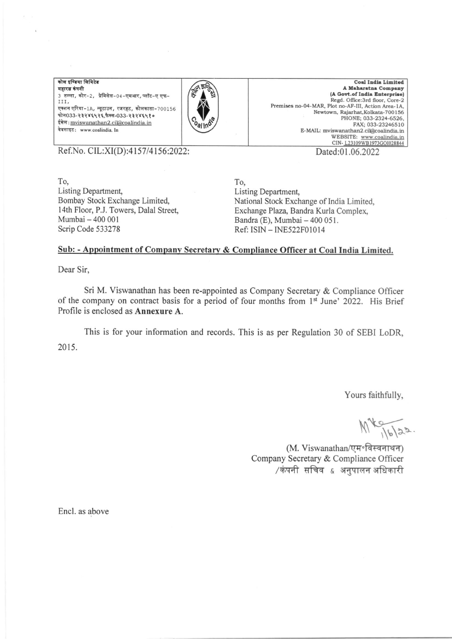<u>कोल इण्डिया लिमिटेड</u> महारब कंपनी 3 तल्ला, कोर-2, प्रेमिसेस-04-एमआर, प्लॉट-ए एफ-III. एक्शन एरिया-1A, न्यूटाउन, रजरहट, कोलकाता-700156 फोन033-२३२४६५२६,फैक्स-033-२३२४६५१० ईमेल: mviswanathan2.cil@coalindia.in वेबसाइट: www.coalindia. In



Coal India Limited A Maharatna Company (A Govt.of India Enterprise) Regd. Office:3rd floor, Core-2 Premises no-04-MAR, Plot no-AF-III, Action Area-1A, Newtown, Rajarhat, Kolkata-700156 PHONE; 033-2324-6526. FAX: 033-23246510 E-MAIL: mviswanathan2.cil@coalindia.in WEBSITE: www.coalindia.in CIN-123109WB1973GOI028844 Dated:01.06.2022

Ref.No. CIL:XI(D):4157/4156:2022:

Bombay Stock Exchange Limited,

14th Floor, P.J. Towers, Dalal Street,

To. Listing Department, National Stock Exchange of India Limited, Exchange Plaza, Bandra Kurla Complex, Bandra (E), Mumbai - 400 051. Ref: ISIN - INE522F01014

## Sub: - Appointment of Company Secretary & Compliance Officer at Coal India Limited.

Dear Sir,

Mumbai - 400 001

Scrip Code 533278

Sri M. Viswanathan has been re-appointed as Company Secretary & Compliance Officer of the company on contract basis for a period of four months from 1<sup>st</sup> June' 2022. His Brief Profile is enclosed as Annexure A.

This is for your information and records. This is as per Regulation 30 of SEBI LoDR, 2015.

Yours faithfully,

 $MK_{16/22}$ 

(M. Viswanathan/एम॰विस्वनाथन) Company Secretary & Compliance Officer /कंपनी सचिव ६ अनुपालन अधिकारी

Encl. as above

To. Listing Department,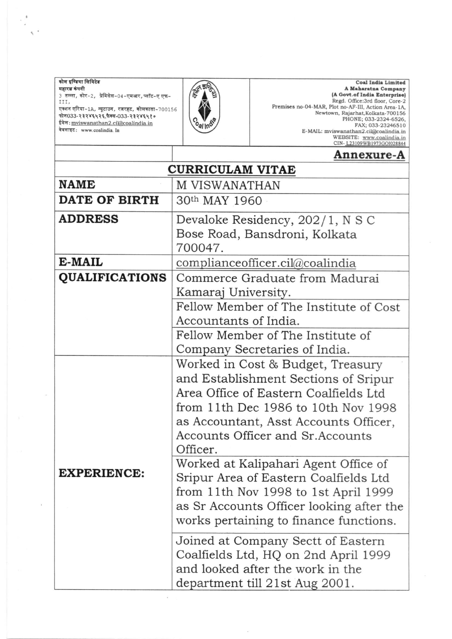<u>कोल इण्डिया लिमिटेड</u> महारत्न कंपनी 3 तल्ला, कोर-2, प्रेमिसेस-04-एमआर, प्लॉट-ए एफ- $\mathtt{III},$ ---,<br>एक्शन एरिया-1A, न्यूटाउन, रजरहट, कोलकाता-700156 फोन033-२३२४६५२६,फैक्स-033-२३२४६५१० ईमेल: mviswanathan2.cil@coalindia.in वेबसाइट: www.coalindia. In

 $\frac{1}{2}$ 

 $\overline{\mu}$ 

 $\alpha$ 



Coal India Limited Coal India Limited<br>
A Maharatna Company<br>
A Govt.of India Enterprise)<br>
Regd. Office:3rd floor, Core-2<br>
Regd. Office:3rd floor, Core-2<br>
Premises no-04-MAR, Plot no-AF-III, Action Area-1A,<br>
Newtown, Rajarhat, Kolkata-700156<br>

|                       | <b>Annexure-A</b>                                                                                                                                                                                                                                  |  |  |
|-----------------------|----------------------------------------------------------------------------------------------------------------------------------------------------------------------------------------------------------------------------------------------------|--|--|
| CURRICULAM VITAE      |                                                                                                                                                                                                                                                    |  |  |
| <b>NAME</b>           | M VISWANATHAN                                                                                                                                                                                                                                      |  |  |
| <b>DATE OF BIRTH</b>  | 30th MAY 1960                                                                                                                                                                                                                                      |  |  |
| <b>ADDRESS</b>        | Devaloke Residency, 202/1, N S C<br>Bose Road, Bansdroni, Kolkata<br>700047.                                                                                                                                                                       |  |  |
| E-MAIL                | complianceofficer.cil@coalindia                                                                                                                                                                                                                    |  |  |
| <b>QUALIFICATIONS</b> | Commerce Graduate from Madurai<br>Kamaraj University.                                                                                                                                                                                              |  |  |
|                       | Fellow Member of The Institute of Cost<br>Accountants of India.                                                                                                                                                                                    |  |  |
|                       | Fellow Member of The Institute of<br>Company Secretaries of India.                                                                                                                                                                                 |  |  |
| <b>EXPERIENCE:</b>    | Worked in Cost & Budget, Treasury<br>and Establishment Sections of Sripur<br>Area Office of Eastern Coalfields Ltd<br>from 11th Dec 1986 to 10th Nov 1998<br>as Accountant, Asst Accounts Officer,<br>Accounts Officer and Sr.Accounts<br>Officer. |  |  |
|                       | Worked at Kalipahari Agent Office of<br>Sripur Area of Eastern Coalfields Ltd<br>from 11th Nov 1998 to 1st April 1999<br>as Sr Accounts Officer looking after the<br>works pertaining to finance functions.                                        |  |  |
|                       | Joined at Company Sectt of Eastern<br>Coalfields Ltd, HQ on 2nd April 1999<br>and looked after the work in the<br>department till 21st Aug 2001.                                                                                                   |  |  |

 $\hat{\mathcal{L}}$